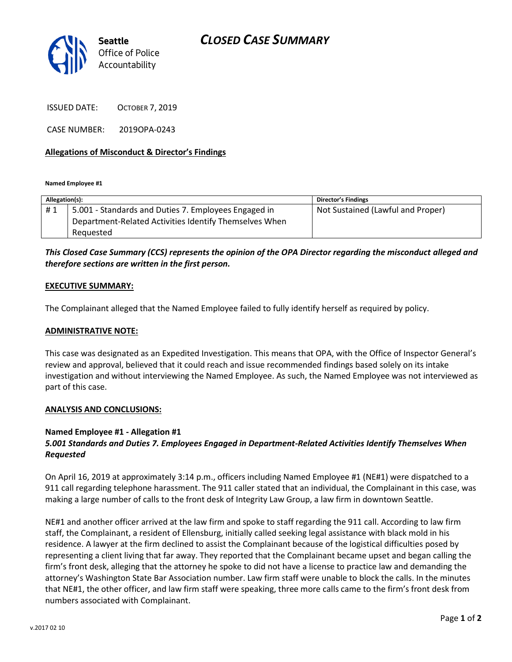

ISSUED DATE: OCTOBER 7, 2019

CASE NUMBER: 2019OPA-0243

### **Allegations of Misconduct & Director's Findings**

**Named Employee #1**

| Allegation(s): |                                                        | <b>Director's Findings</b>        |
|----------------|--------------------------------------------------------|-----------------------------------|
| #1             | 5.001 - Standards and Duties 7. Employees Engaged in   | Not Sustained (Lawful and Proper) |
|                | Department-Related Activities Identify Themselves When |                                   |
|                | Reauested                                              |                                   |

*This Closed Case Summary (CCS) represents the opinion of the OPA Director regarding the misconduct alleged and therefore sections are written in the first person.* 

#### **EXECUTIVE SUMMARY:**

The Complainant alleged that the Named Employee failed to fully identify herself as required by policy.

#### **ADMINISTRATIVE NOTE:**

This case was designated as an Expedited Investigation. This means that OPA, with the Office of Inspector General's review and approval, believed that it could reach and issue recommended findings based solely on its intake investigation and without interviewing the Named Employee. As such, the Named Employee was not interviewed as part of this case.

#### **ANALYSIS AND CONCLUSIONS:**

## **Named Employee #1 - Allegation #1**

# *5.001 Standards and Duties 7. Employees Engaged in Department-Related Activities Identify Themselves When Requested*

On April 16, 2019 at approximately 3:14 p.m., officers including Named Employee #1 (NE#1) were dispatched to a 911 call regarding telephone harassment. The 911 caller stated that an individual, the Complainant in this case, was making a large number of calls to the front desk of Integrity Law Group, a law firm in downtown Seattle.

NE#1 and another officer arrived at the law firm and spoke to staff regarding the 911 call. According to law firm staff, the Complainant, a resident of Ellensburg, initially called seeking legal assistance with black mold in his residence. A lawyer at the firm declined to assist the Complainant because of the logistical difficulties posed by representing a client living that far away. They reported that the Complainant became upset and began calling the firm's front desk, alleging that the attorney he spoke to did not have a license to practice law and demanding the attorney's Washington State Bar Association number. Law firm staff were unable to block the calls. In the minutes that NE#1, the other officer, and law firm staff were speaking, three more calls came to the firm's front desk from numbers associated with Complainant.